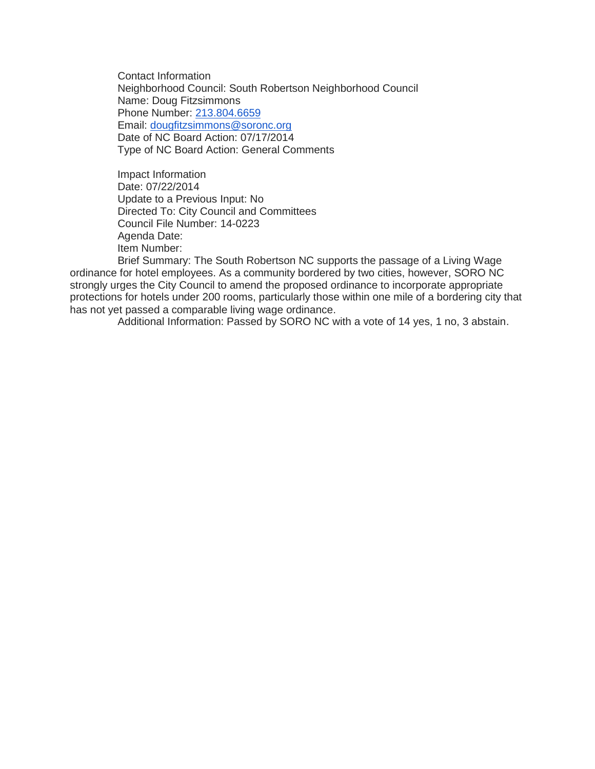Contact Information Neighborhood Council: South Robertson Neighborhood Council Name: Doug Fitzsimmons Phone Number: [213.804.6659](tel:213.804.6659) Email: [dougfitzsimmons@soronc.org](mailto:dougfitzsimmons@soronc.org) Date of NC Board Action: 07/17/2014 Type of NC Board Action: General Comments

Impact Information Date: 07/22/2014 Update to a Previous Input: No Directed To: City Council and Committees Council File Number: 14-0223 Agenda Date: Item Number:

Brief Summary: The South Robertson NC supports the passage of a Living Wage ordinance for hotel employees. As a community bordered by two cities, however, SORO NC strongly urges the City Council to amend the proposed ordinance to incorporate appropriate protections for hotels under 200 rooms, particularly those within one mile of a bordering city that has not yet passed a comparable living wage ordinance.

Additional Information: Passed by SORO NC with a vote of 14 yes, 1 no, 3 abstain.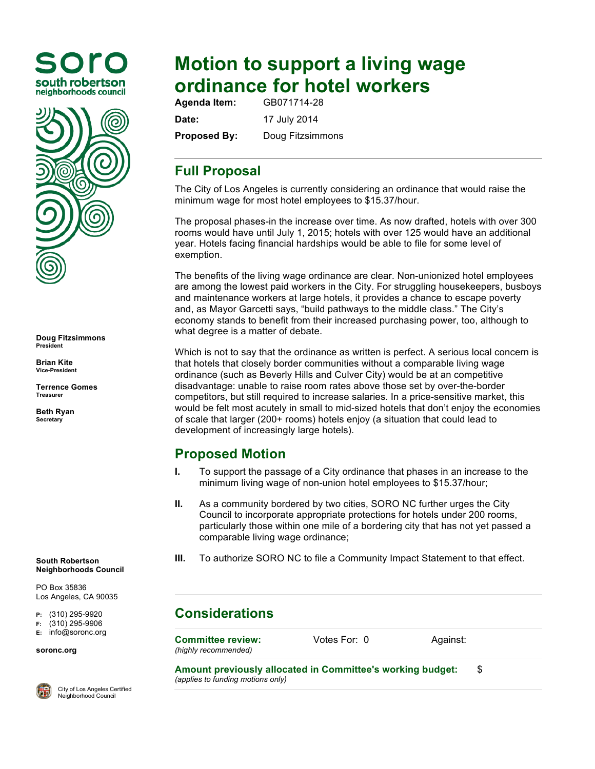



**Doug Fitzsimmons President**

**Brian Kite Vice-President**

**Terrence Gomes Treasurer**

**Beth Ryan Secretary**

**South Robertson Neighborhoods Council**

PO Box 35836 Los Angeles, CA 90035

**P:** (310) 295-9920

**F:** (310) 295-9906

**E:** info@soronc.org

**soronc.org**



City of Los Angeles Certified Neighborhood Council

# **Motion to support a living wage ordinance for hotel workers**

**Agenda Item:** GB071714-28 **Date:** 17 July 2014 **Proposed By:** Doug Fitzsimmons

## **Full Proposal**

The City of Los Angeles is currently considering an ordinance that would raise the minimum wage for most hotel employees to \$15.37/hour.

The proposal phases-in the increase over time. As now drafted, hotels with over 300 rooms would have until July 1, 2015; hotels with over 125 would have an additional year. Hotels facing financial hardships would be able to file for some level of exemption.

The benefits of the living wage ordinance are clear. Non-unionized hotel employees are among the lowest paid workers in the City. For struggling housekeepers, busboys and maintenance workers at large hotels, it provides a chance to escape poverty and, as Mayor Garcetti says, "build pathways to the middle class." The City's economy stands to benefit from their increased purchasing power, too, although to what degree is a matter of debate.

Which is not to say that the ordinance as written is perfect. A serious local concern is that hotels that closely border communities without a comparable living wage ordinance (such as Beverly Hills and Culver City) would be at an competitive disadvantage: unable to raise room rates above those set by over-the-border competitors, but still required to increase salaries. In a price-sensitive market, this would be felt most acutely in small to mid-sized hotels that don't enjoy the economies of scale that larger (200+ rooms) hotels enjoy (a situation that could lead to development of increasingly large hotels).

#### **Proposed Motion**

- **I.** To support the passage of a City ordinance that phases in an increase to the minimum living wage of non-union hotel employees to \$15.37/hour;
- **II.** As a community bordered by two cities, SORO NC further urges the City Council to incorporate appropriate protections for hotels under 200 rooms, particularly those within one mile of a bordering city that has not yet passed a comparable living wage ordinance;
- **III.** To authorize SORO NC to file a Community Impact Statement to that effect.

## **Considerations**

**Committee review:** *(highly recommended)*

Votes For: 0 Against:

**Amount previously allocated in Committee's working budget:** *(applies to funding motions only)* \$